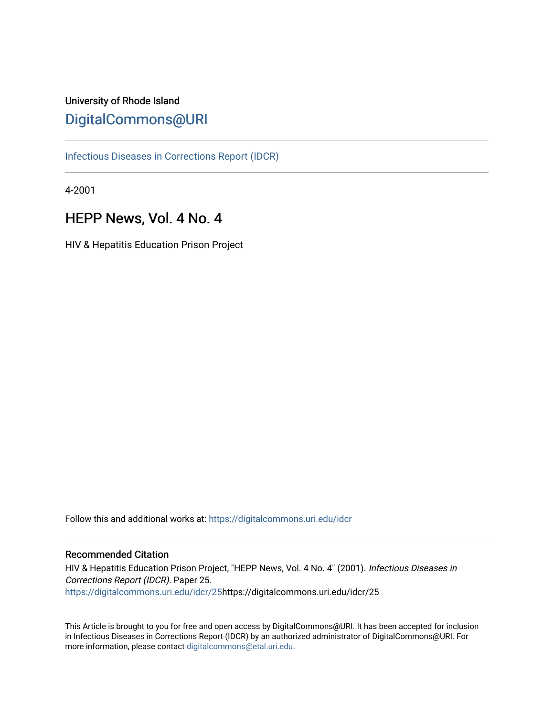# University of Rhode Island [DigitalCommons@URI](https://digitalcommons.uri.edu/)

[Infectious Diseases in Corrections Report \(IDCR\)](https://digitalcommons.uri.edu/idcr)

4-2001

# HEPP News, Vol. 4 No. 4

HIV & Hepatitis Education Prison Project

Follow this and additional works at: [https://digitalcommons.uri.edu/idcr](https://digitalcommons.uri.edu/idcr?utm_source=digitalcommons.uri.edu%2Fidcr%2F25&utm_medium=PDF&utm_campaign=PDFCoverPages)

## Recommended Citation

HIV & Hepatitis Education Prison Project, "HEPP News, Vol. 4 No. 4" (2001). Infectious Diseases in Corrections Report (IDCR). Paper 25. [https://digitalcommons.uri.edu/idcr/25h](https://digitalcommons.uri.edu/idcr/25?utm_source=digitalcommons.uri.edu%2Fidcr%2F25&utm_medium=PDF&utm_campaign=PDFCoverPages)ttps://digitalcommons.uri.edu/idcr/25

This Article is brought to you for free and open access by DigitalCommons@URI. It has been accepted for inclusion in Infectious Diseases in Corrections Report (IDCR) by an authorized administrator of DigitalCommons@URI. For more information, please contact [digitalcommons@etal.uri.edu.](mailto:digitalcommons@etal.uri.edu)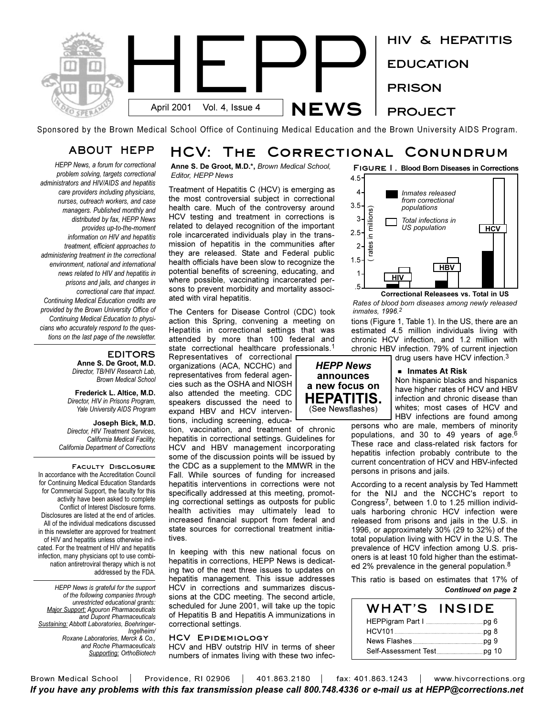

Sponsored by the Brown Medical School Office of Continuing Medical Education and the Brown University AIDS Program.

## **ABOUT HEPP HCV: The Correctional Conundrum**

*HEPP News, a forum for correctional problem solving, targets correctional administrators and HIV/AIDS and hepatitis care providers including physicians, nurses, outreach workers, and case managers. Published monthly and distributed by fax, HEPP News provides up-to-the-moment information on HIV and hepatitis treatment, efficient approaches to administering treatment in the correctional environment, national and international news related to HIV and hepatitis in prisons and jails, and changes in correctional care that impact. Continuing Medical Education credits are provided by the Brown University Office of Continuing Medical Education to physicians who accurately respond to the questions on the last page of the newsletter.* 

## **EDITORS**

**Anne S. De Groot, M.D.** *Director, TB/HIV Research Lab, Brown Medical School*

**Frederick L. Altice, M.D.** *Director, HIV in Prisons Program, Yale University AIDS Program*

**Joseph Bick, M.D.** *Director, HIV Treatment Services, California Medical Facility, California Department of Corrections*

**Faculty Disclosure**  In accordance with the Accreditation Council for Continuing Medical Education Standards for Commercial Support, the faculty for this activity have been asked to complete Conflict of Interest Disclosure forms. Disclosures are listed at the end of articles. All of the individual medications discussed in this newsletter are approved for treatment of HIV and hepatitis unless otherwise indicated. For the treatment of HIV and hepatitis infection, many physicians opt to use combination antiretroviral therapy which is not addressed by the FDA.

*HEPP News is grateful for the support of the following companies through unrestricted educational grants: Major Support: Agouron Pharmaceuticals and Dupont Pharmaceuticals Sustaining: Abbott Laboratories, Boehringer-Ingelheim/ Roxane Laboratories, Merck & Co., and Roche Pharmaceuticals Supporting: OrthoBiotech* **Anne S. De Groot, M.D.\*,** *Brown Medical School, Editor, HEPP News*

Treatment of Hepatitis C (HCV) is emerging as the most controversial subject in correctional health care. Much of the controversy around HCV testing and treatment in corrections is related to delayed recognition of the important role incarcerated individuals play in the transmission of hepatitis in the communities after they are released. State and Federal public health officials have been slow to recognize the potential benefits of screening, educating, and where possible, vaccinating incarcerated persons to prevent morbidity and mortality associated with viral hepatitis.

The Centers for Disease Control (CDC) took action this Spring, convening a meeting on Hepatitis in correctional settings that was attended by more than 100 federal and state correctional healthcare professionals.<sup>1</sup>

Representatives of correctional organizations (ACA, NCCHC) and representatives from federal agencies such as the OSHA and NIOSH also attended the meeting. CDC speakers discussed the need to expand HBV and HCV interventions, including screening, educa-

tion, vaccination, and treatment of chronic hepatitis in correctional settings. Guidelines for HCV and HBV management incorporating some of the discussion points will be issued by the CDC as a supplement to the MMWR in the Fall. While sources of funding for increased hepatitis interventions in corrections were not specifically addressed at this meeting, promoting correctional settings as outposts for public health activities may ultimately lead to increased financial support from federal and state sources for correctional treatment initiatives.

In keeping with this new national focus on hepatitis in corrections, HEPP News is dedicating two of the next three issues to updates on hepatitis management. This issue addresses HCV in corrections and summarizes discussions at the CDC meeting. The second article, scheduled for June 2001, will take up the topic of Hepatitis B and Hepatitis A immunizations in correctional settings.

## **HCV Epidemiology**

HCV and HBV outstrip HIV in terms of sheer numbers of inmates living with these two infec-



*Rates of blood born diseases among newly released inmates, 1996.2*

tions (Figure 1, Table 1). In the US, there are an estimated 4.5 million individuals living with chronic HCV infection, and 1.2 million with chronic HBV infection. 79% of current injection drug users have HCV infection.3



## G **Inmates At Risk**

Non hispanic blacks and hispanics have higher rates of HCV and HBV infection and chronic disease than whites; most cases of HCV and HBV infections are found among

persons who are male, members of minority populations, and 30 to 49 years of age.6 These race and class-related risk factors for hepatitis infection probably contribute to the current concentration of HCV and HBV-infected persons in prisons and jails.

According to a recent analysis by Ted Hammett for the NIJ and the NCCHC's report to Congress7, between 1.0 to 1.25 million individuals harboring chronic HCV infection were released from prisons and jails in the U.S. in 1996, or approximately 30% (29 to 32%) of the total population living with HCV in the U.S. The prevalence of HCV infection among U.S. prisoners is at least 10 fold higher than the estimated 2% prevalence in the general population.<sup>8</sup>

This ratio is based on estimates that 17% of *Continued on page 2*

| WHAT'S | <b>INSIDE</b> |
|--------|---------------|
|        |               |
|        |               |
|        |               |
|        |               |

Brown Medical School | Providence, RI 02906 | 401.863.2180 | fax: 401.863.1243 | www.hivcorrections.org *If you have any problems with this fax transmission please call 800.748.4336 or e-mail us at HEPP@corrections.net*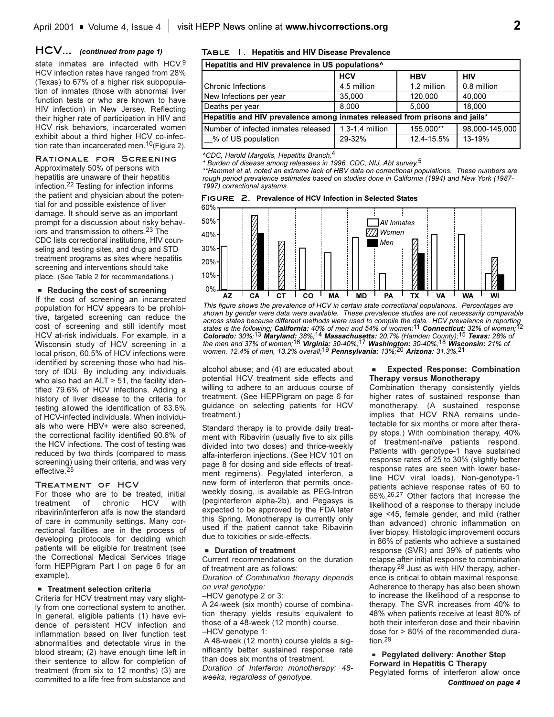## **HCV...** *(continued from page 1)*

state inmates are infected with HCV.<sup>9</sup> HCV infection rates have ranged from 28% (Texas) to 67% of a higher risk subpopulation of inmates (those with abnormal liver function tests or who are known to have HIV infection) in New Jersey. Reflecting their higher rate of participation in HIV and HCV risk behaviors, incarcerated women exhibit about a third higher HCV co-infection rate than incarcerated men.<sup>10</sup>(Figure 2).

#### **Rationale for Screening**

Approximately 50% of persons with hepatitis are unaware of their hepatitis infection.22 Testing for infection informs the patient and physician about the potential for and possible existence of liver damage. It should serve as an important prompt for a discussion about risky behaviors and transmission to others.23 The CDC lists correctional institutions, HIV counseling and testing sites, and drug and STD treatment programs as sites where hepatitis screening and interventions should take place. (See Table 2 for recommendations.)

#### **Reducing the cost of screening**

If the cost of screening an incarcerated population for HCV appears to be prohibitive, targeted screening can reduce the cost of screening and still identify most HCV at-risk individuals. For example, in a Wisconsin study of HCV screening in a local prison, 60.5% of HCV infections were identified by screening those who had history of IDU. By including any individuals who also had an  $ALT > 51$ , the facility identified 79.6% of HCV infections. Adding a history of liver disease to the criteria for testing allowed the identification of 83.6% of HCV-infected individuals. When individuals who were HBV+ were also screened, the correctional facility identified 90.8% of the HCV infections. The cost of testing was reduced by two thirds (compared to mass screening) using their criteria, and was very effective.<sup>25</sup>

### **Treatment of HCV**

For those who are to be treated, initial treatment of chronic HCV with ribavirin/interferon alfa is now the standard of care in community settings. Many correctional facilities are in the process of developing protocols for deciding which patients will be eligible for treatment (see the Correctional Medical Services triage form HEPPigram Part I on page 6 for an example).

## **FI** Treatment selection criteria

Criteria for HCV treatment may vary slightly from one correctional system to another. In general, eligible patients (1) have evidence of persistent HCV infection and inflammation based on liver function test abnormalities and detectable virus in the blood stream; (2) have enough time left in their sentence to allow for completion of treatment (from six to 12 months) (3) are committed to a life free from substance and

#### **Table 1. Hepatitis and HIV Disease Prevalence**

| Hepatitis and HIV prevalence in US populations <sup>^</sup>                 |                 |             |                |  |  |
|-----------------------------------------------------------------------------|-----------------|-------------|----------------|--|--|
|                                                                             | <b>HCV</b>      | <b>HBV</b>  | <b>HIV</b>     |  |  |
| Chronic Infections                                                          | 4.5 million     | 1.2 million | 0.8 million    |  |  |
| New Infections per year                                                     | 35,000          | 120.000     | 40,000         |  |  |
| Deaths per year                                                             | 8.000           | 5.000       | 18.000         |  |  |
| Hepatitis and HIV prevalence among inmates released from prisons and jails* |                 |             |                |  |  |
| l Number of infected inmates released                                       | 1.3-1.4 million | 155,000**   | 98,000-145,000 |  |  |
| % of US population                                                          | 29-32%          | 12.4-15.5%  | 13-19%         |  |  |

*^CDC, Harold Margolis, Hepatitis Branch.*4

*\* Burden of disease among releasees in 1996, CDC, NIJ, Abt survey.*5

*\*\*Hammet et al. noted an extreme lack of HBV data on correctional populations. These numbers are rough period prevalence estimates based on studies done in California (1994) and New York (1987- 1997) correctional systems.*

|  | FIGURE 2. Prevalence of HCV Infection in Selected States |  |  |  |
|--|----------------------------------------------------------|--|--|--|
|  |                                                          |  |  |  |



*This figure shows the prevalence of HCV in certain state correctional populations. Percentages are shown by gender were data were available. These prevalence studies are not necessarily comparable across states because different methods were used to compile the data. HCV prevalence in reporting states is the following; California: 40% of men and 54% of women;*11 *Connecticut: 32% of women;*12 *Colorado: 30%;*13 *Maryland: 38%;*14 *Massachusetts: 20.7% (Hamden County);*15 *Texas: 28% of the men and 37% of women;*16 *Virginia: 30-40%;*17 *Washington: 30-40%;*18 *Wisconsin: 21% of women, 12.4% of men, 13.2% overall;*19 *Pennsylvania: 13%;*20 *Arizona: 31.3%.*21

alcohol abuse; and (4) are educated about potential HCV treatment side effects and willing to adhere to an arduous course of treatment. (See HEPPigram on page 6 for guidance on selecting patients for HCV treatment.)

Standard therapy is to provide daily treatment with Ribavirin (usually five to six pills divided into two doses) and thrice-weekly alfa-interferon injections. (See HCV 101 on page 8 for dosing and side effects of treatment regimens). Pegylated interferon, a new form of interferon that permits onceweekly dosing, is available as PEG-Intron (peginterferon alpha-2b), and Pegasys is expected to be approved by the FDA later this Spring. Monotherapy is currently only used if the patient cannot take Ribavirin due to toxicities or side-effects.

## **E** Duration of treatment

Current recommendations on the duration of treatment are as follows:

*Duration of Combination therapy depends on viral genotype:*

HCV genotype 2 or 3:

A 24-week (six month) course of combination therapy yields results equivalent to those of a 48-week (12 month) course. HCV genotype 1:

A 48-week (12 month) course yields a significantly better sustained response rate than does six months of treatment. *Duration of Interferon monotherapy: 48 weeks, regardless of genotype.*

#### **Expected Response: Combination Therapy versus Monotherapy**

Combination therapy consistently yields higher rates of sustained response than monotherapy. (A sustained response implies that HCV RNA remains undetectable for six months or more after therapy stops.) With combination therapy, 40% of treatment-naïve patients respond. Patients with genotype-1 have sustained response rates of 25 to 30% (slightly better response rates are seen with lower baseline HCV viral loads). Non-genotype-1 patients achieve response rates of 60 to 65%.26,27 Other factors that increase the likelihood of a response to therapy include age <45, female gender, and mild (rather than advanced) chronic inflammation on liver biopsy. Histologic improvement occurs in 86% of patients who achieve a sustained response (SVR) and 39% of patients who relapse after initial response to combination therapy.28 Just as with HIV therapy, adherence is critical to obtain maximal response. Adherence to therapy has also been shown to increase the likelihood of a response to therapy. The SVR increases from 40% to 48% when patients receive at least 80% of both their interferon dose and their ribavirin dose for > 80% of the recommended duration.29

## **Pegylated delivery: Another Step Forward in Hepatitis C Therapy**

Pegylated forms of interferon allow once *Continued on page 4*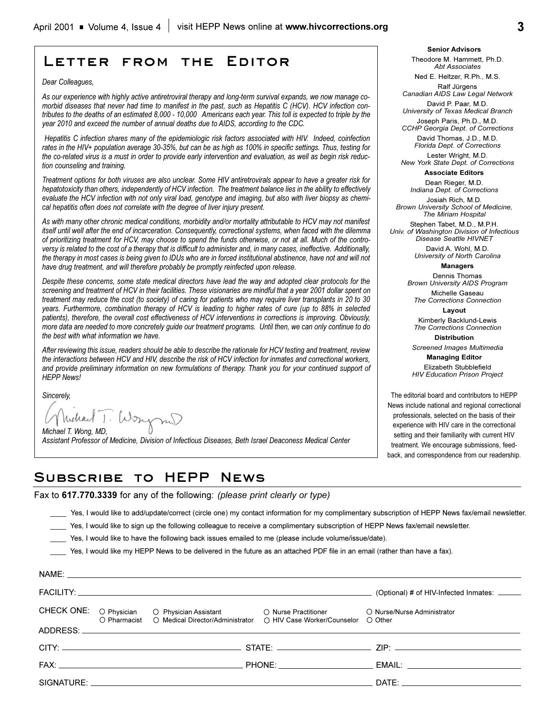# **Letter from the Editor**

*Dear Colleagues,*

*As our experience with highly active antiretroviral therapy and long-term survival expands, we now manage comorbid diseases that never had time to manifest in the past, such as Hepatitis C (HCV). HCV infection contributes to the deaths of an estimated 8,000 - 10,000 Americans each year. This toll is expected to triple by the year 2010 and exceed the number of annual deaths due to AIDS, according to the CDC.* 

*Hepatitis C infection shares many of the epidemiologic risk factors associated with HIV. Indeed, coinfection rates in the HIV+ population average 30-35%, but can be as high as 100% in specific settings. Thus, testing for the co-related virus is a must in order to provide early intervention and evaluation, as well as begin risk reduction counseling and training.* 

*Treatment options for both viruses are also unclear. Some HIV antiretrovirals appear to have a greater risk for hepatotoxicity than others, independently of HCV infection. The treatment balance lies in the ability to effectively evaluate the HCV infection with not only viral load, genotype and imaging, but also with liver biopsy as chemical hepatitis often does not correlate with the degree of liver injury present.* 

*As with many other chronic medical conditions, morbidity and/or mortality attributable to HCV may not manifest itself until well after the end of incarceration. Consequently, correctional systems, when faced with the dilemma of prioritizing treatment for HCV, may choose to spend the funds otherwise, or not at all. Much of the controversy is related to the cost of a therapy that is difficult to administer and, in many cases, ineffective. Additionally, the therapy in most cases is being given to IDUs who are in forced institutional abstinence, have not and will not have drug treatment, and will therefore probably be promptly reinfected upon release.*

*Despite these concerns, some state medical directors have lead the way and adopted clear protocols for the screening and treatment of HCV in their facilities. These visionaries are mindful that a year 2001 dollar spent on treatment may reduce the cost (to society) of caring for patients who may require liver transplants in 20 to 30 years. Furthermore, combination therapy of HCV is leading to higher rates of cure (up to 88% in selected patients), therefore, the overall cost effectiveness of HCV interventions in corrections is improving. Obviously, more data are needed to more concretely guide our treatment programs. Until then, we can only continue to do the best with what information we have.*

*After reviewing this issue, readers should be able to describe the rationale for HCV testing and treatment, review the interactions between HCV and HIV, describe the risk of HCV infection for inmates and correctional workers, and provide preliminary information on new formulations of therapy. Thank you for your continued support of HEPP News!*

*Sincerely,*

*Michael T. Wong, MD,* 

*Assistant Professor of Medicine, Division of Infectious Diseases, Beth Israel Deaconess Medical Center*

**Senior Advisors** Theodore M. Hammett, Ph.D. *Abt Associates*

Ned E. Heltzer, R.Ph., M.S. Ralf Jürgens

*Canadian AIDS Law Legal Network*

David P. Paar, M.D. *University of Texas Medical Branch*

Joseph Paris, Ph.D., M.D. *CCHP Georgia Dept. of Corrections*  David Thomas, J.D., M.D. *Florida Dept. of Corrections*

Lester Wright, M.D. *New York State Dept. of Corrections*

## **Associate Editors**

Dean Rieger, M.D. *Indiana Dept. of Corrections*

Josiah Rich, M.D. *Brown University School of Medicine, The Miriam Hospital*

Stephen Tabet, M.D., M.P.H. *Univ. of Washington Division of Infectious Disease Seattle HIVNET*

> David A. Wohl, M.D. *University of North Carolina*

**Managers**

Dennis Thomas *Brown University AIDS Program* Michelle Gaseau

*The Corrections Connection* **Layout**

Kimberly Backlund-Lewis *The Corrections Connection*

**Distribution** *Screened Images Multimedia*

**Managing Editor**  Elizabeth Stubblefield *HIV Education Prison Project*

The editorial board and contributors to HEPP News include national and regional correctional professionals, selected on the basis of their experience with HIV care in the correctional setting and their familiarity with current HIV treatment. We encourage submissions, feedback, and correspondence from our readership.

## **Subscribe to HEPP News**

Fax to **617.770.3339** for any of the following: *(please print clearly or type)*

\_\_\_\_ Yes, I would like to add/update/correct (circle one) my contact information for my complimentary subscription of HEPP News fax/email newsletter.

- Yes, I would like to sign up the following colleague to receive a complimentary subscription of HEPP News fax/email newsletter.
- \_\_\_\_ Yes, I would like to have the following back issues emailed to me (please include volume/issue/date).

Yes, I would like my HEPP News to be delivered in the future as an attached PDF file in an email (rather than have a fax).

|  |                                                                                                                                                | (Optional) # of HIV-Infected Inmates:  |
|--|------------------------------------------------------------------------------------------------------------------------------------------------|----------------------------------------|
|  | CHECK ONE: O Physician O Physician Assistant O Nurse Practitioner<br>O Pharmacist O Medical Director/Administrator O HIV Case Worker/Counselor | O Nurse/Nurse Administrator<br>O Other |
|  |                                                                                                                                                |                                        |
|  |                                                                                                                                                |                                        |
|  |                                                                                                                                                |                                        |
|  |                                                                                                                                                | DATE: ________________________         |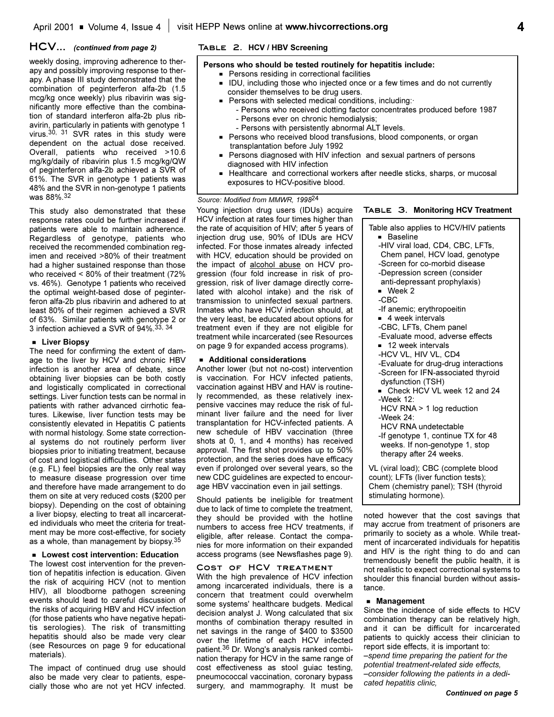## **HCV...** *(continued from page 2)*

weekly dosing, improving adherence to therapy and possibly improving response to therapy. A phase III study demonstrated that the combination of peginterferon alfa-2b (1.5 mcg/kg once weekly) plus ribavirin was significantly more effective than the combination of standard interferon alfa-2b plus ribavirin, particularly in patients with genotype 1 virus.30, 31 SVR rates in this study were dependent on the actual dose received. Overall, patients who received >10.6 mg/kg/daily of ribavirin plus 1.5 mcg/kg/QW of peginterferon alfa-2b achieved a SVR of 61%. The SVR in genotype 1 patients was 48% and the SVR in non-genotype 1 patients was 88%.32

This study also demonstrated that these response rates could be further increased if patients were able to maintain adherence. Regardless of genotype, patients who received the recommended combination regimen and received >80% of their treatment had a higher sustained response than those who received < 80% of their treatment (72% vs. 46%). Genotype 1 patients who received the optimal weight-based dose of peginterferon alfa-2b plus ribavirin and adhered to at least 80% of their regimen achieved a SVR of 63%. Similar patients with genotype 2 or 3 infection achieved a SVR of 94%. 33, 34

## **E** Liver Biopsy

The need for confirming the extent of damage to the liver by HCV and chronic HBV infection is another area of debate, since obtaining liver biopsies can be both costly and logistically complicated in correctional settings. Liver function tests can be normal in patients with rather advanced cirrhotic features. Likewise, liver function tests may be consistently elevated in Hepatitis C patients with normal histology. Some state correctional systems do not routinely perform liver biopsies prior to initiating treatment, because of cost and logistical difficulties. Other states (e.g. FL) feel biopsies are the only real way to measure disease progression over time and therefore have made arrangement to do them on site at very reduced costs (\$200 per biopsy). Depending on the cost of obtaining a liver biopsy, electing to treat all incarcerated individuals who meet the criteria for treatment may be more cost-effective, for society as a whole, than management by biopsy.35

#### **EXECUTE:** Lowest cost intervention: Education

The lowest cost intervention for the prevention of hepatitis infection is education. Given the risk of acquiring HCV (not to mention HIV), all bloodborne pathogen screening events should lead to careful discussion of the risks of acquiring HBV and HCV infection (for those patients who have negative hepatitis serologies). The risk of transmitting hepatitis should also be made very clear (see Resources on page 9 for educational materials).

The impact of continued drug use should also be made very clear to patients, especially those who are not yet HCV infected.

## **Table 2. HCV / HBV Screening**

## **Persons who should be tested routinely for hepatitis include:**

- **Persons residing in correctional facilities**
- G IDU, including those who injected once or a few times and do not currently consider themselves to be drug users.
- Persons with selected medical conditions, including:
	- Persons who received clotting factor concentrates produced before 1987 - Persons ever on chronic hemodialysis;
	- Persons with persistently abnormal ALT levels.
- **Persons who received blood transfusions, blood components, or organ** transplantation before July 1992
- Persons diagnosed with HIV infection and sexual partners of persons diagnosed with HIV infection
- Healthcare and correctional workers after needle sticks, sharps, or mucosal exposures to HCV-positive blood.

## *Source: Modified from MMWR, 1998*24

Young injection drug users (IDUs) acquire HCV infection at rates four times higher than the rate of acquisition of HIV; after 5 years of injection drug use, 90% of IDUs are HCV infected. For those inmates already infected with HCV, education should be provided on the impact of alcohol abuse on HCV progression (four fold increase in risk of progression, risk of liver damage directly correlated with alcohol intake) and the risk of transmission to uninfected sexual partners. Inmates who have HCV infection should, at the very least, be educated about options for treatment even if they are not eligible for treatment while incarcerated (see Resources on page 9 for expanded access programs).

### ■ Additional considerations

Another lower (but not no-cost) intervention is vaccination. For HCV infected patients, vaccination against HBV and HAV is routinely recommended, as these relatively inexpensive vaccines may reduce the risk of fulminant liver failure and the need for liver transplantation for HCV-infected patients. A new schedule of HBV vaccination (three shots at 0, 1, and 4 months) has received approval. The first shot provides up to 50% protection, and the series does have efficacy even if prolonged over several years, so the new CDC guidelines are expected to encourage HBV vaccination even in jail settings.

Should patients be ineligible for treatment due to lack of time to complete the treatment, they should be provided with the hotline numbers to access free HCV treatments, if eligible, after release. Contact the companies for more information on their expanded access programs (see Newsflashes page 9).

## **Cost of HCV treatment**

With the high prevalence of HCV infection among incarcerated individuals, there is a concern that treatment could overwhelm some systems' healthcare budgets. Medical decision analyst J. Wong calculated that six months of combination therapy resulted in net savings in the range of \$400 to \$3500 over the lifetime of each HCV infected patient.36 Dr. Wong's analysis ranked combination therapy for HCV in the same range of cost effectiveness as stool guiac testing, pneumococcal vaccination, coronary bypass surgery, and mammography. It must be

## **Table 3. Monitoring HCV Treatment**

Table also applies to HCV/HIV patients **Baseline** -HIV viral load, CD4, CBC, LFTs, Chem panel, HCV load, genotype -Screen for co-morbid disease -Depression screen (consider anti-depressant prophylaxis)  $\blacksquare$  Week 2 -CBC -If anemic; erythropoeitin  $\blacksquare$  4 week intervals -CBC, LFTs, Chem panel -Evaluate mood, adverse effects  $\blacksquare$  12 week intervals -HCV VL, HIV VL, CD4 -Evaluate for drug-drug interactions -Screen for IFN-associated thyroid dysfunction (TSH) Check HCV VL week 12 and 24 -Week 12: HCV RNA > 1 log reduction -Week 24: HCV RNA undetectable -If genotype 1, continue TX for 48 weeks. If non-genotype 1, stop therapy after 24 weeks. VL (viral load); CBC (complete blood count); LFTs (liver function tests); Chem (chemistry panel); TSH (thyroid stimulating hormone).

noted however that the cost savings that may accrue from treatment of prisoners are primarily to society as a whole. While treatment of incarcerated individuals for hepatitis and HIV is the right thing to do and can tremendously benefit the public health, it is not realistic to expect correctional systems to shoulder this financial burden without assistance.

#### **Management**

Since the incidence of side effects to HCV combination therapy can be relatively high, and it can be difficult for incarcerated patients to quickly access their clinician to report side effects, it is important to:

*spend time preparing the patient for the potential treatment-related side effects, consider following the patients in a dedicated hepatitis clinic,*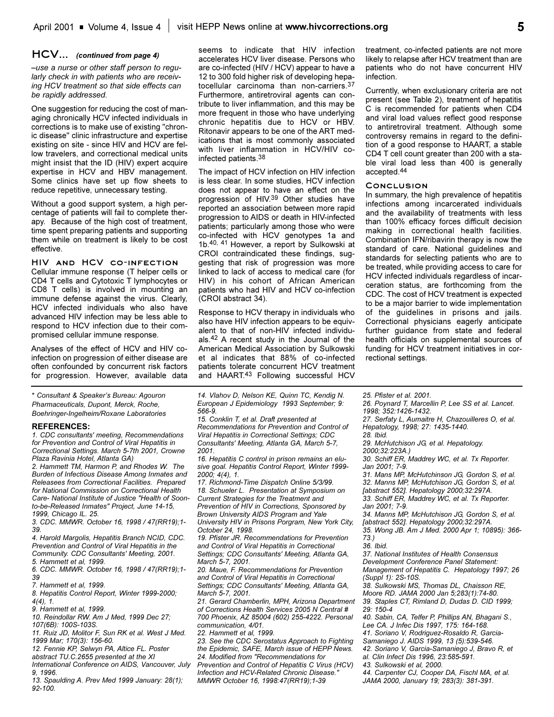## **HCV...** *(continued from page 4)*

*use a nurse or other staff person to regularly check in with patients who are receiving HCV treatment so that side effects can be rapidly addressed.*

One suggestion for reducing the cost of managing chronically HCV infected individuals in corrections is to make use of existing "chronic disease" clinic infrastructure and expertise existing on site - since HIV and HCV are fellow travelers, and correctional medical units might insist that the ID (HIV) expert acquire expertise in HCV and HBV management. Some clinics have set up flow sheets to reduce repetitive, unnecessary testing.

Without a good support system, a high percentage of patients will fail to complete therapy. Because of the high cost of treatment, time spent preparing patients and supporting them while on treatment is likely to be cost effective.

**HIV and HCV co-infection** Cellular immune response (T helper cells or CD4 T cells and Cytotoxic T lymphocytes or CD8 T cells) is involved in mounting an immune defense against the virus. Clearly, HCV infected individuals who also have advanced HIV infection may be less able to respond to HCV infection due to their compromised cellular immune response.

Analyses of the effect of HCV and HIV coinfection on progression of either disease are often confounded by concurrent risk factors for progression. However, available data

\* *Consultant & Speakers Bureau: Agouron Pharmaceuticals, Dupont, Merck, Roche, Boehringer-Ingelheim/Roxane Laboratories*

### **REFERENCES:**

*1. CDC consultants' meeting, Recommendations for Prevention and Control of Viral Hepatitis in Correctional Settings. March 5-7th 2001, Crowne Plaza Ravinia Hotel, Atlanta GA)*

*2. Hammett TM, Harmon P, and Rhodes W. The Burden of Infectious Disease Among Inmates and Releasees from Correctional Facilities. Prepared for National Commission on Correctional Health Care- National Institute of Justice "Health of Soonto-be-Released Inmates" Project, June 14-15, 1999, Chicago IL. 25.*

*3. CDC. MMWR. October 16, 1998 / 47(RR19);1- 39.*

*4. Harold Margolis, Hepatitis Branch NCID, CDC. Prevention and Control of Viral Hepatitis in the Community. CDC Consultants' Meeting, 2001. 5. Hammett et al, 1999.*

*6. CDC. MMWR. October 16, 1998 / 47(RR19);1- 39* 

*7. Hammett et al, 1999.*

*8. Hepatitis Control Report, Winter 1999-2000; 4(4), 1.*

*9. Hammett et al, 1999.*

*10. Reindollar RW. Am J Med, 1999 Dec 27; 107(6B): 100S-103S.*

*11. Ruiz JD, Molitor F, Sun RK et al. West J Med. 1999 Mar; 170(3): 156-60.*

*12. Fennie KP, Selwyn PA, Altice FL. Poster*

*abstract TU.C.2655 presented at the XI International Conference on AIDS, Vancouver, July 9, 1996.*

*13. Spaulding A. Prev Med 1999 January: 28(1); 92-100.*

seems to indicate that HIV infection accelerates HCV liver disease. Persons who are co-infected (HIV / HCV) appear to have a 12 to 300 fold higher risk of developing hepatocellular carcinoma than non-carriers.37 Furthermore, antiretroviral agents can contribute to liver inflammation, and this may be more frequent in those who have underlying chronic hepatitis due to HCV or HBV. Ritonavir appears to be one of the ART medications that is most commonly associated with liver inflammation in HCV/HIV coinfected patients.38

The impact of HCV infection on HIV infection is less clear. In some studies, HCV infection does not appear to have an effect on the progression of HIV.<sup>39</sup> Other studies have reported an association between more rapid progression to AIDS or death in HIV-infected patients; particularly among those who were co-infected with HCV genotypes 1a and 1b.40, 41 However, a report by Sulkowski at CROI contraindicated these findings, suggesting that risk of progression was more linked to lack of access to medical care (for HIV) in his cohort of African American patients who had HIV and HCV co-infection (CROI abstract 34).

Response to HCV therapy in individuals who also have HIV infection appears to be equivalent to that of non-HIV infected individuals.42 A recent study in the Journal of the American Medical Association by Sulkowski et al indicates that 88% of co-infected patients tolerate concurrent HCV treatment and HAART.<sup>43</sup> Following successful HCV

*14. Vlahov D, Nelson KE, Quinn TC, Kendig N. European J Epidemiology 1993 September; 9: 566-9.*

*15. Conklin T, et al. Draft presented at Recommendations for Prevention and Control of Viral Hepatitis in Correctional Settings; CDC Consultants' Meeting, Atlanta GA, March 5-7, 2001.*

*16. Hepatitis C control in prison remains an elusive goal. Hepatitis Control Report, Winter 1999- 2000; 4(4), 1.*

*17. Richmond-Time Dispatch Online 5/3/99. 18. Schueler L. Presentation at Symposium on Current Strategies for the Treatment and Prevention of HIV in Corrections, Sponsored by Brown University AIDS Program and Yale University HIV in Prisons Porgram, New York City, October 24, 1998.*

*19. Pfister JR. Recommendations for Prevention and Control of Viral Hepatitis in Correctional Settings; CDC Consultants' Meeting, Atlanta GA, March 5-7, 2001.*

*20. Maue, F. Recommendations for Prevention and Control of Viral Hepatitis in Correctional Settings; CDC Consultants' Meeting, Atlanta GA, March 5-7, 2001.*

*21. Gerard Chamberlin, MPH, Arizona Department of Corrections Health Services 2005 N Central # 700 Phoenix, AZ 85004 (602) 255-4222. Personal communication, 4/01.*

*22. Hammett et al, 1999.*

*23. See the CDC Serostatus Approach to Fighting the Epidemic, SAFE, March issue of HEPP News. 24. Modified from "Recommendations for Prevention and Control of Hepatitis C Virus (HCV)*

*Infection and HCV-Related Chronic Disease." MMWR October 16, 1998:47(RR19);1-39*

treatment, co-infected patients are not more likely to relapse after HCV treatment than are patients who do not have concurrent HIV infection.

Currently, when exclusionary criteria are not present (see Table 2), treatment of hepatitis C is recommended for patients when CD4 and viral load values reflect good response to antiretroviral treatment. Although some controversy remains in regard to the definition of a good response to HAART, a stable CD4 T cell count greater than 200 with a stable viral load less than 400 is generally accepted.44

#### **Conclusion**

In summary, the high prevalence of hepatitis infections among incarcerated individuals and the availability of treatments with less than 100% efficacy forces difficult decision making in correctional health facilities. Combination IFN/ribavirin therapy is now the standard of care. National guidelines and standards for selecting patients who are to be treated, while providing access to care for HCV infected individuals regardless of incarceration status, are forthcoming from the CDC. The cost of HCV treatment is expected to be a major barrier to wide implementation of the guidelines in prisons and jails. Correctional physicians eagerly anticipate further guidance from state and federal health officials on supplemental sources of funding for HCV treatment initiatives in correctional settings.

*25. Pfister et al. 2001.*

*26. Poynard T, Marcellin P, Lee SS et al. Lancet. 1998; 352:1426-1432.*

*27. Serfaty L, Aumaitre H, Chazouilleres O, et al. Hepatology, 1998; 27: 1435-1440.*

*28. Ibid.*

*29. McHutchison JG, et al. Hepatology.*

*2000;32:223A.)*

*30. Schiff ER, Maddrey WC, et al. Tx Reporter. Jan 2001; 7-9.*

*31. Mans MP, McHutchinson JG, Gordon S, et al. 32. Manns MP, McHutchison JG, Gordon S, et al.*

*[abstract 552]. Hepatology 2000;32:297A. 33. Schiff ER, Maddrey WC, et al. Tx Reporter.*

*Jan 2001; 7-9.*

*34. Manns MP, McHutchison JG, Gordon S, et al. [abstract 552]. Hepatology 2000;32:297A. 35. Wong JB. Am J Med. 2000 Apr 1; 10895): 366-*

*73.)*

*36. Ibid.*

*37. National Institutes of Health Consensus Development Conference Panel Statement: Management of Hepatitis C. Hepatology 1997; 26*

*(Suppl 1): 2S-10S. 38. Sulkowski MS, Thomas DL, Chaisson RE,*

*Moore RD. JAMA 2000 Jan 5;283(1):74-80.* 

*39. Staples CT, Rimland D, Dudas D. CID 1999; 29: 150-4*

*40. Sabin, CA, Telfer P, Phillips AN, Bhagani S., Lee CA. J Infec Dis 1997, 175: 164-168.* 

*41. Soriano V, Rodriguez-Rosaldo R, Garcia-*

*Samaniego J. AIDS 1999, 13 (5):539-546.* 

*42. Soriano V, Garcia-Samaniego J, Bravo R, et*

*al. Clin Infect Dis 1996, 23:585-591.*

*43. Sulkowski et al, 2000.*

*44. Carpenter CJ, Cooper DA, Fischl MA, et al. JAMA 2000, January 19; 283(3): 381-391.*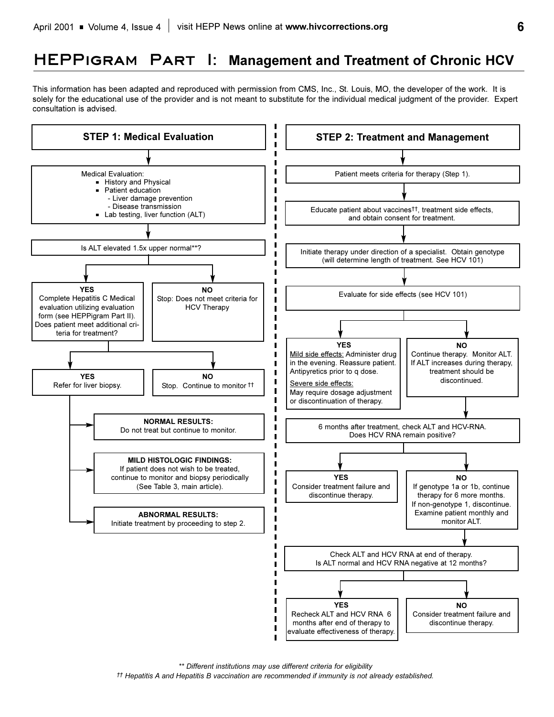# **HEPPigram Part I: Management and Treatment of Chronic HCV**

This information has been adapted and reproduced with permission from CMS, Inc., St. Louis, MO, the developer of the work. It is solely for the educational use of the provider and is not meant to substitute for the individual medical judgment of the provider. Expert consultation is advised.



*\*\* Different institutions may use different criteria for eligibility*

*Hepatitis A and Hepatitis B vaccination are recommended if immunity is not already established.*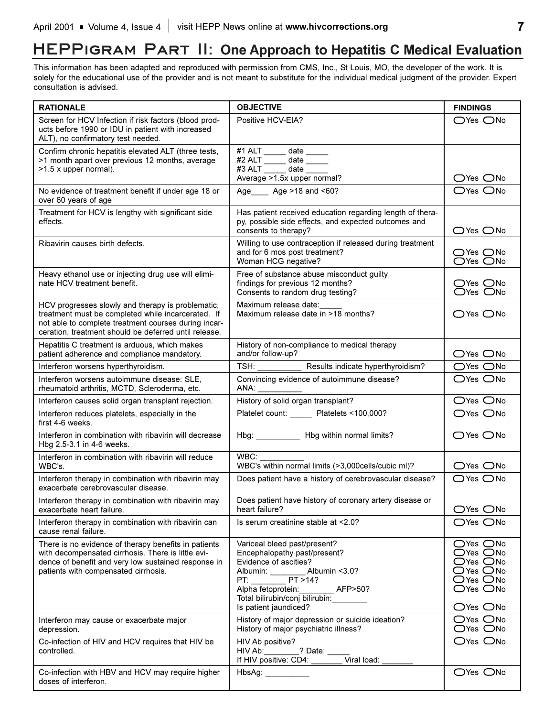# **HEPPigram Part II: One Approach to Hepatitis C Medical Evaluation**

This information has been adapted and reproduced with permission from CMS, Inc., St Louis, MO, the developer of the work. It is solely for the educational use of the provider and is not meant to substitute for the individual medical judgment of the provider. Expert consultation is advised.

| <b>RATIONALE</b>                                                                                                                                                                                                         | <b>OBJECTIVE</b>                                                                                                                                                                                                                                                                                                                                                                                  | <b>FINDINGS</b>                                                                                                                                                                                                |
|--------------------------------------------------------------------------------------------------------------------------------------------------------------------------------------------------------------------------|---------------------------------------------------------------------------------------------------------------------------------------------------------------------------------------------------------------------------------------------------------------------------------------------------------------------------------------------------------------------------------------------------|----------------------------------------------------------------------------------------------------------------------------------------------------------------------------------------------------------------|
| Screen for HCV Infection if risk factors (blood prod-<br>ucts before 1990 or IDU in patient with increased<br>ALT), no confirmatory test needed.                                                                         | Positive HCV-EIA?                                                                                                                                                                                                                                                                                                                                                                                 | $\bigcirc$ Yes $\bigcirc$ No                                                                                                                                                                                   |
| Confirm chronic hepatitis elevated ALT (three tests,<br>>1 month apart over previous 12 months, average<br>>1.5 x upper normal).                                                                                         | #1 ALT ______ date _____<br>#2 ALT $\frac{1}{\sqrt{1-\frac{1}{2}}}\$ date $\frac{1}{\sqrt{1-\frac{1}{2}}}\$<br>#3 ALT ______ date _____<br>Average > 1.5x upper normal?                                                                                                                                                                                                                           | $\bigcirc$ Yes $\bigcirc$ No                                                                                                                                                                                   |
| No evidence of treatment benefit if under age 18 or<br>over 60 years of age                                                                                                                                              | Age _____ Age >18 and <60?                                                                                                                                                                                                                                                                                                                                                                        | OYes ONo                                                                                                                                                                                                       |
| Treatment for HCV is lengthy with significant side<br>effects.                                                                                                                                                           | Has patient received education regarding length of thera-<br>py, possible side effects, and expected outcomes and<br>consents to therapy?                                                                                                                                                                                                                                                         | $\bigcirc$ Yes $\bigcirc$ No                                                                                                                                                                                   |
| Ribavirin causes birth defects.                                                                                                                                                                                          | Willing to use contraception if released during treatment<br>and for 6 mos post treatment?<br>Woman HCG negative?                                                                                                                                                                                                                                                                                 | $\bigcirc$ Yes $\bigcirc$ No<br>○Yes ○No                                                                                                                                                                       |
| Heavy ethanol use or injecting drug use will elimi-<br>nate HCV treatment benefit.                                                                                                                                       | Free of substance abuse misconduct guilty<br>findings for previous 12 months?<br>Consents to random drug testing?                                                                                                                                                                                                                                                                                 | ○Yes ○No<br>OYes ONo                                                                                                                                                                                           |
| HCV progresses slowly and therapy is problematic;<br>treatment must be completed while incarcerated. If<br>not able to complete treatment courses during incar-<br>ceration, treatment should be deferred until release. | Maximum release date:<br>Maximum release date in >18 months?                                                                                                                                                                                                                                                                                                                                      | $\bigcirc$ Yes $\bigcirc$ No                                                                                                                                                                                   |
| Hepatitis C treatment is arduous, which makes<br>patient adherence and compliance mandatory.                                                                                                                             | History of non-compliance to medical therapy<br>and/or follow-up?                                                                                                                                                                                                                                                                                                                                 | $\bigcirc$ Yes $\bigcirc$ No                                                                                                                                                                                   |
| Interferon worsens hyperthyroidism.                                                                                                                                                                                      | TSH: ______________ Results indicate hyperthyroidism?                                                                                                                                                                                                                                                                                                                                             | $\bigcirc$ Yes $\bigcirc$ No                                                                                                                                                                                   |
| Interferon worsens autoimmune disease: SLE,<br>rheumatoid arthritis, MCTD, Scleroderma, etc.                                                                                                                             | Convincing evidence of autoimmune disease?<br>$\begin{picture}(20,10) \put(0,0){\line(1,0){10}} \put(15,0){\line(1,0){10}} \put(15,0){\line(1,0){10}} \put(15,0){\line(1,0){10}} \put(15,0){\line(1,0){10}} \put(15,0){\line(1,0){10}} \put(15,0){\line(1,0){10}} \put(15,0){\line(1,0){10}} \put(15,0){\line(1,0){10}} \put(15,0){\line(1,0){10}} \put(15,0){\line(1,0){10}} \put(15,0){\line(1$ | $\bigcirc$ Yes $\bigcirc$ No                                                                                                                                                                                   |
| Interferon causes solid organ transplant rejection.                                                                                                                                                                      | History of solid organ transplant?                                                                                                                                                                                                                                                                                                                                                                | OYes ONo                                                                                                                                                                                                       |
| Interferon reduces platelets, especially in the<br>first 4-6 weeks.                                                                                                                                                      | Platelet count: _____ Platelets <100,000?                                                                                                                                                                                                                                                                                                                                                         | $\bigcirc$ Yes $\bigcirc$ No                                                                                                                                                                                   |
| Interferon in combination with ribavirin will decrease<br>Hbg 2.5-3.1 in 4-6 weeks.                                                                                                                                      | Hbg: _____________ Hbg within normal limits?                                                                                                                                                                                                                                                                                                                                                      | $\bigcirc$ Yes $\bigcirc$ No                                                                                                                                                                                   |
| Interferon in combination with ribavirin will reduce<br>WBC's.                                                                                                                                                           | WBC:<br>WBC's within normal limits (>3,000cells/cubic ml)?                                                                                                                                                                                                                                                                                                                                        | ○Yes ○No                                                                                                                                                                                                       |
| Interferon therapy in combination with ribavirin may<br>exacerbate cerebrovascular disease.                                                                                                                              | Does patient have a history of cerebrovascular disease?                                                                                                                                                                                                                                                                                                                                           | $\bigcirc$ Yes $\bigcirc$ No                                                                                                                                                                                   |
| Interferon therapy in combination with ribavirin may<br>exacerbate heart failure.                                                                                                                                        | Does patient have history of coronary artery disease or<br>heart failure?                                                                                                                                                                                                                                                                                                                         | $\bigcirc$ Yes $\bigcirc$ No                                                                                                                                                                                   |
| Interferon therapy in combination with ribavirin can<br>cause renal failure.                                                                                                                                             | Is serum creatinine stable at <2.0?                                                                                                                                                                                                                                                                                                                                                               | $\bigcirc$ Yes $\bigcirc$ No                                                                                                                                                                                   |
| There is no evidence of therapy benefits in patients<br>with decompensated cirrhosis. There is little evi-<br>dence of benefit and very low sustained response in<br>patients with compensated cirrhosis.                | Variceal bleed past/present?<br>Encephalopathy past/present?<br>Evidence of ascities?<br>Albumin: ___________ Albumin <3.0?<br>$\overline{\text{PT}}$ >14?<br>PT:<br>Alpha fetoprotein:<br>__ AFP>50?<br>Total bilirubin/conj bilirubin:<br>Is patient jaundiced?                                                                                                                                 | $\bigcirc$ Yes $\bigcirc$ No<br>$\bigcirc$ Yes $\bigcirc$ No<br>$\bigcirc$ Yes $\bigcirc$ No<br>$\bigcirc$ Yes $\bigcirc$ No<br>$O$ Yes $O$ No<br>$\bigcirc$ Yes $\bigcirc$ No<br>$\bigcirc$ Yes $\bigcirc$ No |
| Interferon may cause or exacerbate major<br>depression.                                                                                                                                                                  | History of major depression or suicide ideation?<br>History of major psychiatric illness?                                                                                                                                                                                                                                                                                                         | $\bigcirc$ Yes $\bigcirc$ No<br>$OYes$ $ONo$                                                                                                                                                                   |
| Co-infection of HIV and HCV requires that HIV be<br>controlled.                                                                                                                                                          | HIV Ab positive?<br>HIV Ab: ________? Date: ___<br>Viral load:<br>If HIV positive: CD4:                                                                                                                                                                                                                                                                                                           | $\bigcirc$ Yes $\bigcirc$ No                                                                                                                                                                                   |
| Co-infection with HBV and HCV may require higher<br>doses of interferon.                                                                                                                                                 | HbsAg:                                                                                                                                                                                                                                                                                                                                                                                            | ○Yes ○No                                                                                                                                                                                                       |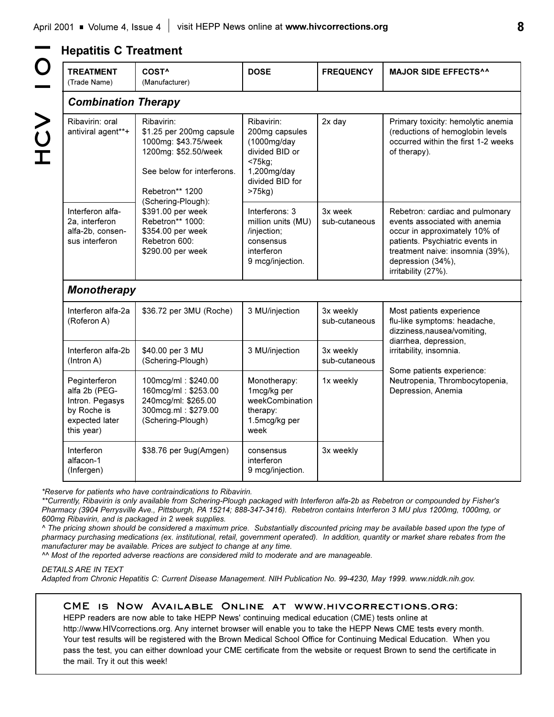| <b>TREATMENT</b><br>(Trade Name)                                                                 | COST <sup>^</sup><br>(Manufacturer)                                                                                                     | <b>DOSE</b>                                                                                                                | <b>FREQUENCY</b>           | <b>MAJOR SIDE EFFECTS^^</b>                                                                                                                                                                                          |  |  |
|--------------------------------------------------------------------------------------------------|-----------------------------------------------------------------------------------------------------------------------------------------|----------------------------------------------------------------------------------------------------------------------------|----------------------------|----------------------------------------------------------------------------------------------------------------------------------------------------------------------------------------------------------------------|--|--|
| <b>Combination Therapy</b>                                                                       |                                                                                                                                         |                                                                                                                            |                            |                                                                                                                                                                                                                      |  |  |
| Ribavirin: oral<br>antiviral agent**+                                                            | Ribavirin:<br>\$1.25 per 200mg capsule<br>1000mg: \$43.75/week<br>1200mg: \$52.50/week<br>See below for interferons.<br>Rebetron** 1200 | Ribavirin:<br>200mg capsules<br>(1000mg/day<br>divided BID or<br>$< 75$ kg;<br>1,200mg/day<br>divided BID for<br>$>75$ kg) | $2x$ day                   | Primary toxicity: hemolytic anemia<br>(reductions of hemoglobin levels<br>occurred within the first 1-2 weeks<br>of therapy).                                                                                        |  |  |
| Interferon alfa-<br>2a, interferon<br>alfa-2b, consen-<br>sus interferon                         | (Schering-Plough):<br>\$391.00 per week<br>Rebetron** 1000:<br>\$354.00 per week<br>Rebetron 600:<br>\$290.00 per week                  | Interferons: 3<br>million units (MU)<br>/injection;<br>consensus<br>interferon<br>9 mcg/injection.                         | 3x week<br>sub-cutaneous   | Rebetron: cardiac and pulmonary<br>events associated with anemia<br>occur in approximately 10% of<br>patients. Psychiatric events in<br>treatment naive: insomnia (39%),<br>depression (34%),<br>irritability (27%). |  |  |
| <b>Monotherapy</b>                                                                               |                                                                                                                                         |                                                                                                                            |                            |                                                                                                                                                                                                                      |  |  |
| Interferon alfa-2a<br>(Roferon A)                                                                | \$36.72 per 3MU (Roche)                                                                                                                 | 3 MU/injection                                                                                                             | 3x weekly<br>sub-cutaneous | Most patients experience<br>flu-like symptoms: headache,<br>dizziness, nausea/vomiting,                                                                                                                              |  |  |
| Interferon alfa-2b<br>(Intron A)                                                                 | \$40.00 per 3 MU<br>(Schering-Plough)                                                                                                   | 3 MU/injection                                                                                                             | 3x weekly<br>sub-cutaneous | diarrhea, depression,<br>irritability, insomnia.<br>Some patients experience:                                                                                                                                        |  |  |
| Peginterferon<br>alfa 2b (PEG-<br>Intron. Pegasys<br>by Roche is<br>expected later<br>this year) | 100mcg/ml: \$240.00<br>160mcg/ml: \$253.00<br>240mcg/ml: \$265.00<br>300mcg.ml: \$279.00<br>(Schering-Plough)                           | Monotherapy:<br>1mcg/kg per<br>weekCombination<br>therapy:<br>1.5mcg/kg per<br>week                                        | 1x weekly                  | Neutropenia, Thrombocytopenia,<br>Depression, Anemia                                                                                                                                                                 |  |  |
| Interferon<br>alfacon-1<br>(Infergen)                                                            | \$38.76 per 9ug(Amgen)                                                                                                                  | consensus<br>interferon<br>9 mcg/injection.                                                                                | 3x weekly                  |                                                                                                                                                                                                                      |  |  |

*\*Reserve for patients who have contraindications to Ribavirin.*

*\*\*Currently, Ribavirin is only available from Schering-Plough packaged with Interferon alfa-2b as Rebetron or compounded by Fisher's Pharmacy (3904 Perrysville Ave., Pittsburgh, PA 15214; 888-347-3416). Rebetron contains Interferon 3 MU plus 1200mg, 1000mg, or 600mg Ribavirin, and is packaged in 2 week supplies.*

*^ The pricing shown should be considered a maximum price. Substantially discounted pricing may be available based upon the type of pharmacy purchasing medications (ex. institutional, retail, government operated). In addition, quantity or market share rebates from the manufacturer may be available. Prices are subject to change at any time.*

*^^ Most of the reported adverse reactions are considered mild to moderate and are manageable.*

## *DETAILS ARE IN TEXT*

*Adapted from Chronic Hepatitis C: Current Disease Management. NIH Publication No. 99-4230, May 1999. www.niddk.nih.gov.*

## **CME is Now Available Online at www.hivcorrections.org:**

HEPP readers are now able to take HEPP News' continuing medical education (CME) tests online at http://www.HIVcorrections.org. Any internet browser will enable you to take the HEPP News CME tests every month. Your test results will be registered with the Brown Medical School Office for Continuing Medical Education. When you pass the test, you can either download your CME certificate from the website or request Brown to send the certificate in the mail. Try it out this week!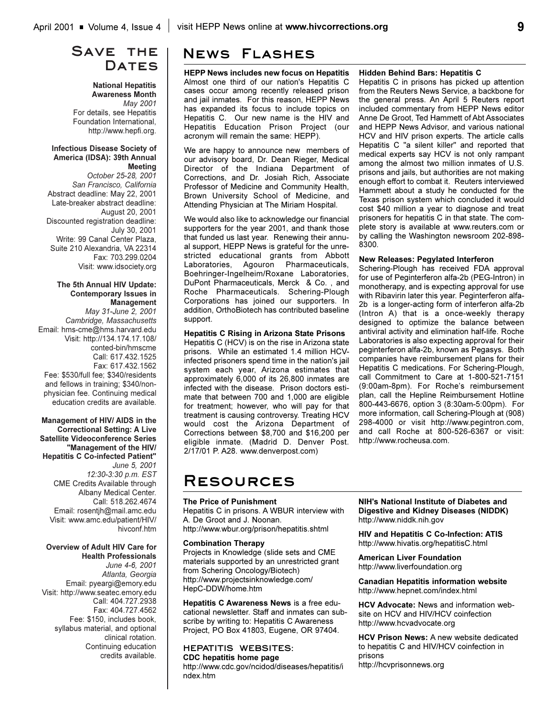## **Save the**  DATES

## **National Hepatitis Awareness Month** *May 2001* For details, see Hepatitis Foundation International, http://www.hepfi.org.

#### **Infectious Disease Society of America (IDSA): 39th Annual Meeting**

*October 25-28, 2001 San Francisco, California* Abstract deadline: May 22, 2001 Late-breaker abstract deadline: August 20, 2001 Discounted registration deadline: July 30, 2001 Write: 99 Canal Center Plaza, Suite 210 Alexandria, VA 22314 Fax: 703.299.0204 Visit: www.idsociety.org

## **The 5th Annual HIV Update: Contemporary Issues in Management**

*May 31-June 2, 2001 Cambridge, Massachusetts* Email: hms-cme@hms.harvard.edu Visit: http://134.174.17.108/ conted-bin/hmscme Call: 617.432.1525 Fax: 617.432.1562 Fee: \$530/full fee; \$340/residents and fellows in training; \$340/nonphysician fee. Continuing medical education credits are available.

## **Management of HIV/ AIDS in the Correctional Setting: A Live Satellite Videoconference Series "Management of the HIV/ Hepatitis C Co-infected Patient"** *June 5, 2001 12:30-3:30 p.m. EST* CME Credits Available through Albany Medical Center. Call: 518.262.4674 Email: rosentjh@mail.amc.edu Visit: www.amc.edu/patient/HIV/ hivconf.htm

#### **Overview of Adult HIV Care for Health Professionals**

*June 4-6, 2001 Atlanta, Georgia* Email: pyeargi@emory.edu Visit: http://www.seatec.emory.edu Call: 404.727.2938 Fax: 404.727.4562 Fee: \$150, includes book, syllabus material, and optional clinical rotation. Continuing education credits available.

# **News Flashes**

**HEPP News includes new focus on Hepatitis** Almost one third of our nation's Hepatitis C cases occur among recently released prison and jail inmates. For this reason, HEPP News has expanded its focus to include topics on Hepatitis C. Our new name is the HIV and Hepatitis Education Prison Project (our acronym will remain the same: HEPP).

We are happy to announce new members of our advisory board, Dr. Dean Rieger, Medical Director of the Indiana Department of Corrections, and Dr. Josiah Rich, Associate Professor of Medicine and Community Health, Brown University School of Medicine, and Attending Physician at The Miriam Hospital.

We would also like to acknowledge our financial supporters for the year 2001, and thank those that funded us last year. Renewing their annual support, HEPP News is grateful for the unrestricted educational grants from Abbott Laboratories, Agouron Pharmaceuticals, Boehringer-Ingelheim/Roxane Laboratories, DuPont Pharmaceuticals, Merck & Co. , and Roche Pharmaceuticals. Schering-Plough Corporations has joined our supporters. In addition, OrthoBiotech has contributed baseline support.

## **Hepatitis C Rising in Arizona State Prisons**

Hepatitis C (HCV) is on the rise in Arizona state prisons. While an estimated 1.4 million HCVinfected prisoners spend time in the nation's jail system each year, Arizona estimates that approximately 6,000 of its 26,800 inmates are infected with the disease. Prison doctors estimate that between 700 and 1,000 are eligible for treatment; however, who will pay for that treatment is causing controversy. Treating HCV would cost the Arizona Department of Corrections between \$8,700 and \$16,200 per eligible inmate. (Madrid D. Denver Post. 2/17/01 P. A28. www.denverpost.com)

## **Hidden Behind Bars: Hepatitis C**

Hepatitis C in prisons has picked up attention from the Reuters News Service, a backbone for the general press. An April 5 Reuters report included commentary from HEPP News editor Anne De Groot, Ted Hammett of Abt Associates and HEPP News Advisor, and various national HCV and HIV prison experts. The article calls Hepatitis C "a silent killer" and reported that medical experts say HCV is not only rampant among the almost two million inmates of U.S. prisons and jails, but authorities are not making enough effort to combat it. Reuters interviewed Hammett about a study he conducted for the Texas prison system which concluded it would cost \$40 million a year to diagnose and treat prisoners for hepatitis C in that state. The complete story is available at www.reuters.com or by calling the Washington newsroom 202-898- 8300.

## **New Releases: Pegylated Interferon**

Schering-Plough has received FDA approval for use of Peginterferon alfa-2b (PEG-Intron) in monotherapy, and is expecting approval for use with Ribavirin later this year. Peginterferon alfa-2b is a longer-acting form of interferon alfa-2b (Intron A) that is a once-weekly therapy designed to optimize the balance between antiviral activity and elimination half-life. Roche Laboratories is also expecting approval for their peginterferon alfa-2b, known as Pegasys. Both companies have reimbursement plans for their Hepatitis C medications. For Schering-Plough, call Commitment to Care at 1-800-521-7151 (9:00am-8pm). For Roche's reimbursement plan, call the Hepline Reimbursement Hotline 800-443-6676, option 3 (8:30am-5:00pm). For more information, call Schering-Plough at (908) 298-4000 or visit http://www.pegintron.com, and call Roche at 800-526-6367 or visit: http://www.rocheusa.com.

# **Resources**

## **The Price of Punishment**

Hepatitis C in prisons. A WBUR interview with A. De Groot and J. Noonan. http://www.wbur.org/prison/hepatitis.shtml

## **Combination Therapy**

Projects in Knowledge (slide sets and CME materials supported by an unrestricted grant from Schering Oncology/Biotech) http://www.projectsinknowledge.com/ HepC-DDW/home.htm

**Hepatitis C Awareness News** is a free educational newsletter. Staff and inmates can subscribe by writing to: Hepatitis C Awareness Project, PO Box 41803, Eugene, OR 97404.

#### **HEPATITIS WEBSITES: CDC hepatitis home page**

http://www.cdc.gov/ncidod/diseases/hepatitis/i ndex.htm

**NIH's National Institute of Diabetes and Digestive and Kidney Diseases (NIDDK)** http://www.niddk.nih.gov

**HIV and Hepatitis C Co-Infection: ATIS** http://www.hivatis.org/hepatitisC.html

**American Liver Foundation** http://www.liverfoundation.org

**Canadian Hepatitis information website** http://www.hepnet.com/index.html

**HCV Advocate:** News and information website on HCV and HIV/HCV coinfection http://www.hcvadvocate.org

**HCV Prison News:** A new website dedicated to hepatitis C and HIV/HCV coinfection in prisons http://hcvprisonnews.org